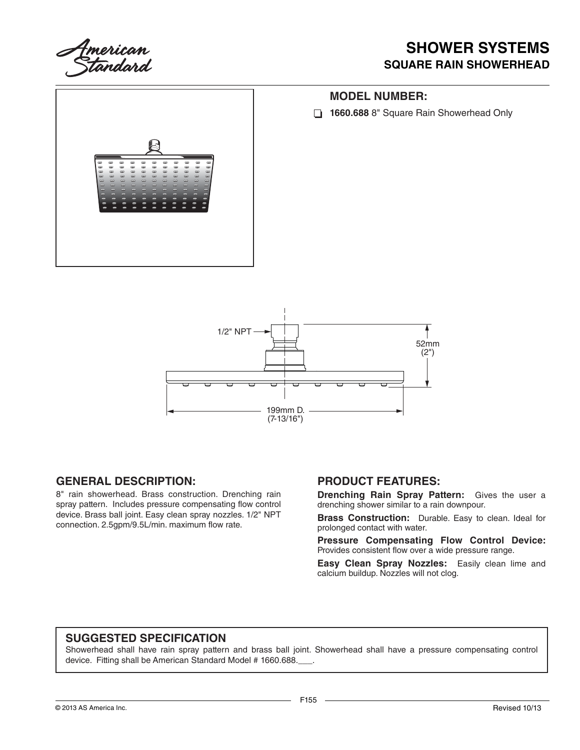

### **SHOWER SYSTEMS SQUARE RAIN SHOWERHEAD**





#### **GENERAL DESCRIPTION:**

8" rain showerhead. Brass construction. Drenching rain spray pattern. Includes pressure compensating flow control device. Brass ball joint. Easy clean spray nozzles. 1/2" NPT connection. 2.5gpm/9.5L/min. maximum flow rate.

### **PRODUCT FEATURES:**

**Drenching Rain Spray Pattern:** Gives the user a drenching shower similar to a rain downpour.

**Brass Construction:** Durable. Easy to clean. Ideal for prolonged contact with water.

**Pressure Compensating Flow Control Device:**  Provides consistent flow over a wide pressure range.

**Easy Clean Spray Nozzles:** Easily clean lime and calcium buildup. Nozzles will not clog.

#### **SUGGESTED SPECIFICATION**

Showerhead shall have rain spray pattern and brass ball joint. Showerhead shall have a pressure compensating control device. Fitting shall be American Standard Model # 1660.688.